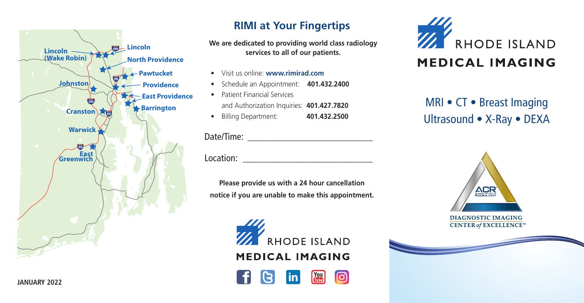

#### **RIMI at Your Fingertips**

**We are dedicated to providing world class radiology services to all of our patients.**

- Visit us online: **www.rimirad.com**
- Schedule an Appointment: **401.432.2400**
- Patient Financial Services and Authorization Inquiries: **401.427.7820**
- Billing Department: **401.432.2500**

#### Date/Time: \_\_\_\_\_\_\_\_\_\_\_\_\_\_\_\_\_\_\_\_\_\_\_\_\_\_

Location: \_\_\_\_\_\_\_\_\_\_\_\_\_\_\_\_\_\_\_\_\_\_\_\_\_\_\_

**Please provide us with a 24 hour cancellation notice if you are unable to make this appointment.**

> **11.** RHODE ISLAND **MEDICAL IMAGING**





MRI • CT • Breast Imaging Ultrasound • X-Ray • DEXA



**DIAGNOSTIC IMAGING CENTER of EXCELLENCE**